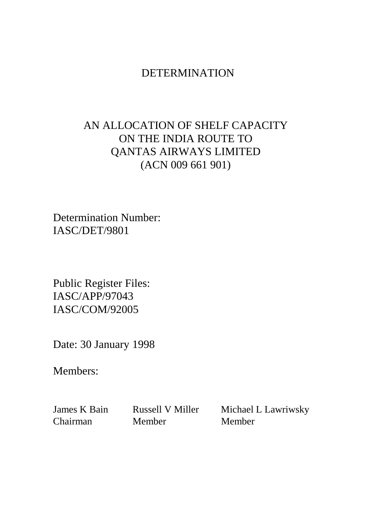### DETERMINATION

# AN ALLOCATION OF SHELF CAPACITY ON THE INDIA ROUTE TO QANTAS AIRWAYS LIMITED (ACN 009 661 901)

Determination Number: IASC/DET/9801

Public Register Files: IASC/APP/97043 IASC/COM/92005

Date: 30 January 1998

Members:

Chairman Member Member

James K Bain Russell V Miller Michael L Lawriwsky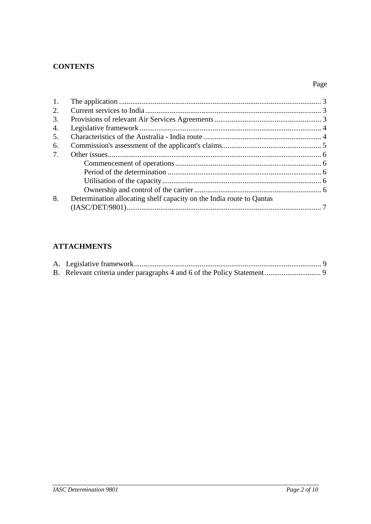#### **CONTENTS**

#### Page

| 1. |                                                                      |  |
|----|----------------------------------------------------------------------|--|
| 2. |                                                                      |  |
| 3. |                                                                      |  |
| 4. |                                                                      |  |
| 5. |                                                                      |  |
| 6. |                                                                      |  |
| 7. |                                                                      |  |
|    |                                                                      |  |
|    |                                                                      |  |
|    |                                                                      |  |
|    |                                                                      |  |
| 8. | Determination allocating shelf capacity on the India route to Qantas |  |
|    |                                                                      |  |

### **ATTACHMENTS**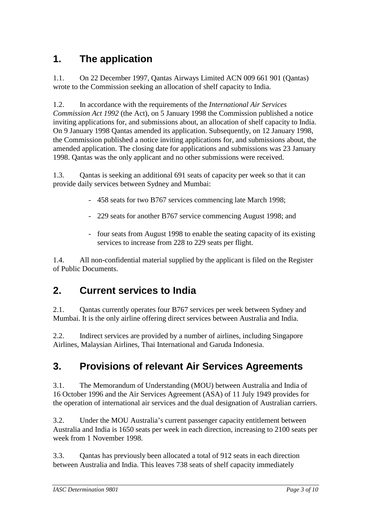# **1. The application**

1.1. On 22 December 1997, Qantas Airways Limited ACN 009 661 901 (Qantas) wrote to the Commission seeking an allocation of shelf capacity to India.

1.2. In accordance with the requirements of the *International Air Services Commission Act 1992* (the Act), on 5 January 1998 the Commission published a notice inviting applications for, and submissions about, an allocation of shelf capacity to India. On 9 January 1998 Qantas amended its application. Subsequently, on 12 January 1998, the Commission published a notice inviting applications for, and submissions about, the amended application. The closing date for applications and submissions was 23 January 1998. Qantas was the only applicant and no other submissions were received.

1.3. Qantas is seeking an additional 691 seats of capacity per week so that it can provide daily services between Sydney and Mumbai:

- 458 seats for two B767 services commencing late March 1998;
- 229 seats for another B767 service commencing August 1998; and
- four seats from August 1998 to enable the seating capacity of its existing services to increase from 228 to 229 seats per flight.

1.4. All non-confidential material supplied by the applicant is filed on the Register of Public Documents.

## **2. Current services to India**

2.1. Qantas currently operates four B767 services per week between Sydney and Mumbai. It is the only airline offering direct services between Australia and India.

2.2. Indirect services are provided by a number of airlines, including Singapore Airlines, Malaysian Airlines, Thai International and Garuda Indonesia.

# **3. Provisions of relevant Air Services Agreements**

3.1. The Memorandum of Understanding (MOU) between Australia and India of 16 October 1996 and the Air Services Agreement (ASA) of 11 July 1949 provides for the operation of international air services and the dual designation of Australian carriers.

3.2. Under the MOU Australia's current passenger capacity entitlement between Australia and India is 1650 seats per week in each direction, increasing to 2100 seats per week from 1 November 1998.

3.3. Qantas has previously been allocated a total of 912 seats in each direction between Australia and India. This leaves 738 seats of shelf capacity immediately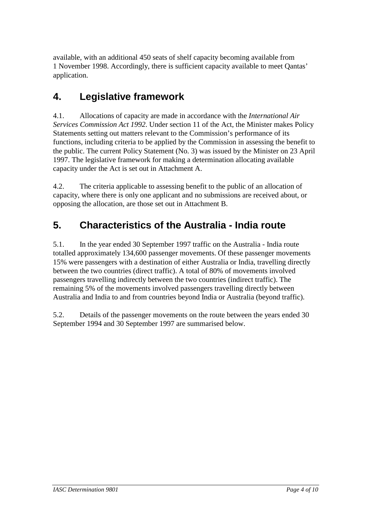available, with an additional 450 seats of shelf capacity becoming available from 1 November 1998. Accordingly, there is sufficient capacity available to meet Qantas' application.

## **4. Legislative framework**

4.1. Allocations of capacity are made in accordance with the *International Air Services Commission Act 1992*. Under section 11 of the Act, the Minister makes Policy Statements setting out matters relevant to the Commission's performance of its functions, including criteria to be applied by the Commission in assessing the benefit to the public. The current Policy Statement (No. 3) was issued by the Minister on 23 April 1997. The legislative framework for making a determination allocating available capacity under the Act is set out in Attachment A.

4.2. The criteria applicable to assessing benefit to the public of an allocation of capacity, where there is only one applicant and no submissions are received about, or opposing the allocation, are those set out in Attachment B.

## **5. Characteristics of the Australia - India route**

5.1. In the year ended 30 September 1997 traffic on the Australia - India route totalled approximately 134,600 passenger movements. Of these passenger movements 15% were passengers with a destination of either Australia or India, travelling directly between the two countries (direct traffic). A total of 80% of movements involved passengers travelling indirectly between the two countries (indirect traffic). The remaining 5% of the movements involved passengers travelling directly between Australia and India to and from countries beyond India or Australia (beyond traffic).

5.2. Details of the passenger movements on the route between the years ended 30 September 1994 and 30 September 1997 are summarised below.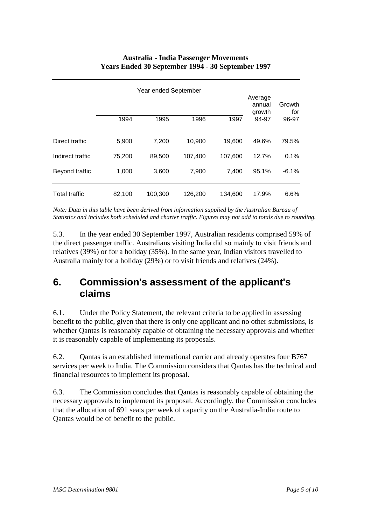#### **Australia - India Passenger Movements Years Ended 30 September 1994 - 30 September 1997**

|                  | Year ended September |         |         |         |                 | Growth<br>for |
|------------------|----------------------|---------|---------|---------|-----------------|---------------|
|                  | 1994                 | 1995    | 1996    | 1997    | growth<br>94-97 | 96-97         |
| Direct traffic   | 5,900                | 7,200   | 10,900  | 19,600  | 49.6%           | 79.5%         |
| Indirect traffic | 75,200               | 89,500  | 107,400 | 107,600 | 12.7%           | 0.1%          |
| Beyond traffic   | 1,000                | 3,600   | 7,900   | 7,400   | 95.1%           | $-6.1%$       |
| Total traffic    | 82,100               | 100,300 | 126,200 | 134,600 | 17.9%           | 6.6%          |

*Note: Data in this table have been derived from information supplied by the Australian Bureau of Statistics and includes both scheduled and charter traffic. Figures may not add to totals due to rounding.*

5.3. In the year ended 30 September 1997, Australian residents comprised 59% of the direct passenger traffic. Australians visiting India did so mainly to visit friends and relatives (39%) or for a holiday (35%). In the same year, Indian visitors travelled to Australia mainly for a holiday (29%) or to visit friends and relatives (24%).

### **6. Commission's assessment of the applicant's claims**

6.1. Under the Policy Statement, the relevant criteria to be applied in assessing benefit to the public, given that there is only one applicant and no other submissions, is whether Qantas is reasonably capable of obtaining the necessary approvals and whether it is reasonably capable of implementing its proposals.

6.2. Qantas is an established international carrier and already operates four B767 services per week to India. The Commission considers that Qantas has the technical and financial resources to implement its proposal.

6.3. The Commission concludes that Qantas is reasonably capable of obtaining the necessary approvals to implement its proposal. Accordingly, the Commission concludes that the allocation of 691 seats per week of capacity on the Australia-India route to Qantas would be of benefit to the public.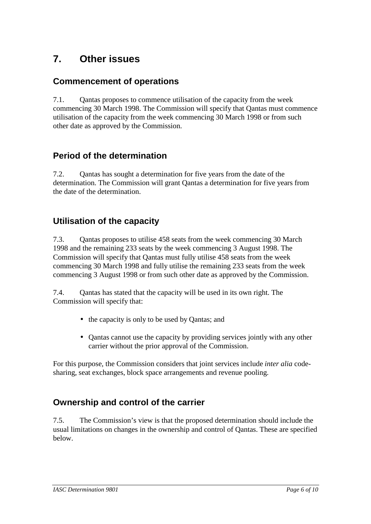## **7. Other issues**

### **Commencement of operations**

7.1. Qantas proposes to commence utilisation of the capacity from the week commencing 30 March 1998. The Commission will specify that Qantas must commence utilisation of the capacity from the week commencing 30 March 1998 or from such other date as approved by the Commission.

### **Period of the determination**

7.2. Qantas has sought a determination for five years from the date of the determination. The Commission will grant Qantas a determination for five years from the date of the determination.

### **Utilisation of the capacity**

7.3. Qantas proposes to utilise 458 seats from the week commencing 30 March 1998 and the remaining 233 seats by the week commencing 3 August 1998. The Commission will specify that Qantas must fully utilise 458 seats from the week commencing 30 March 1998 and fully utilise the remaining 233 seats from the week commencing 3 August 1998 or from such other date as approved by the Commission.

7.4. Qantas has stated that the capacity will be used in its own right. The Commission will specify that:

- the capacity is only to be used by Qantas; and
- Qantas cannot use the capacity by providing services jointly with any other carrier without the prior approval of the Commission.

For this purpose, the Commission considers that joint services include *inter alia* codesharing, seat exchanges, block space arrangements and revenue pooling.

### **Ownership and control of the carrier**

7.5. The Commission's view is that the proposed determination should include the usual limitations on changes in the ownership and control of Qantas. These are specified below.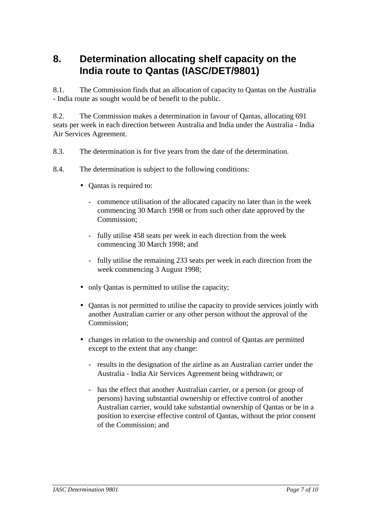### **8. Determination allocating shelf capacity on the India route to Qantas (IASC/DET/9801)**

8.1. The Commission finds that an allocation of capacity to Qantas on the Australia - India route as sought would be of benefit to the public.

8.2. The Commission makes a determination in favour of Qantas, allocating 691 seats per week in each direction between Australia and India under the Australia - India Air Services Agreement.

- 8.3. The determination is for five years from the date of the determination.
- 8.4. The determination is subject to the following conditions:
	- Qantas is required to:
		- commence utilisation of the allocated capacity no later than in the week commencing 30 March 1998 or from such other date approved by the Commission;
		- fully utilise 458 seats per week in each direction from the week commencing 30 March 1998; and
		- fully utilise the remaining 233 seats per week in each direction from the week commencing 3 August 1998;
	- only Qantas is permitted to utilise the capacity;
	- Qantas is not permitted to utilise the capacity to provide services jointly with another Australian carrier or any other person without the approval of the Commission;
	- changes in relation to the ownership and control of Qantas are permitted except to the extent that any change:
		- results in the designation of the airline as an Australian carrier under the Australia - India Air Services Agreement being withdrawn; or
		- has the effect that another Australian carrier, or a person (or group of persons) having substantial ownership or effective control of another Australian carrier, would take substantial ownership of Qantas or be in a position to exercise effective control of Qantas, without the prior consent of the Commission; and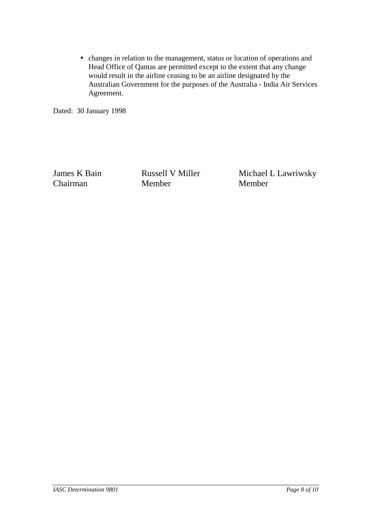• changes in relation to the management, status or location of operations and Head Office of Qantas are permitted except to the extent that any change would result in the airline ceasing to be an airline designated by the Australian Government for the purposes of the Australia - India Air Services Agreement.

Dated: 30 January 1998

Chairman Member Member

James K Bain Russell V Miller Michael L Lawriwsky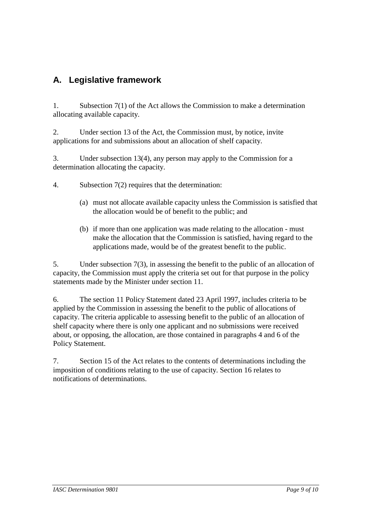### **A. Legislative framework**

1. Subsection 7(1) of the Act allows the Commission to make a determination allocating available capacity.

2. Under section 13 of the Act, the Commission must, by notice, invite applications for and submissions about an allocation of shelf capacity.

3. Under subsection 13(4), any person may apply to the Commission for a determination allocating the capacity.

4. Subsection 7(2) requires that the determination:

- (a) must not allocate available capacity unless the Commission is satisfied that the allocation would be of benefit to the public; and
- (b) if more than one application was made relating to the allocation must make the allocation that the Commission is satisfied, having regard to the applications made, would be of the greatest benefit to the public.

5. Under subsection 7(3), in assessing the benefit to the public of an allocation of capacity, the Commission must apply the criteria set out for that purpose in the policy statements made by the Minister under section 11.

6. The section 11 Policy Statement dated 23 April 1997, includes criteria to be applied by the Commission in assessing the benefit to the public of allocations of capacity. The criteria applicable to assessing benefit to the public of an allocation of shelf capacity where there is only one applicant and no submissions were received about, or opposing, the allocation, are those contained in paragraphs 4 and 6 of the Policy Statement.

7. Section 15 of the Act relates to the contents of determinations including the imposition of conditions relating to the use of capacity. Section 16 relates to notifications of determinations.